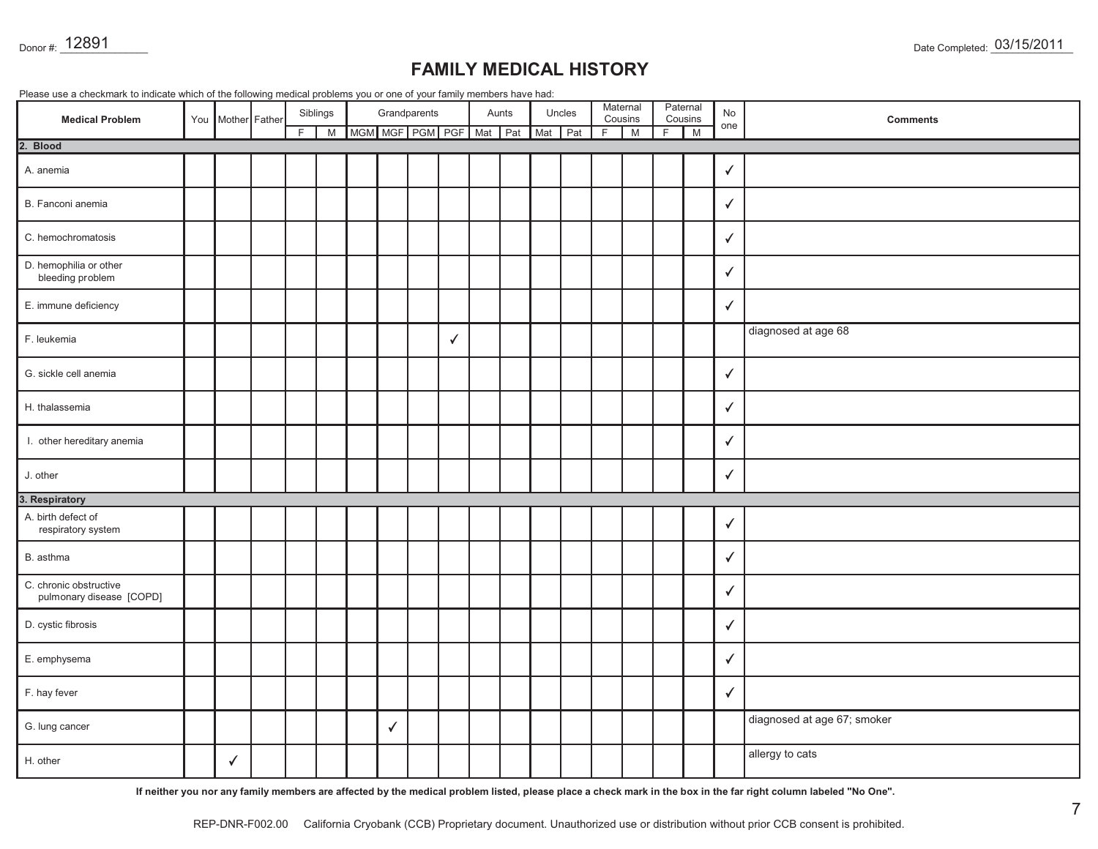| Donor #: 12891                                                                                                         |                   |    |               |                         |              |              |       |         |        |                               |                          |               |              |                  | Date Completed: 03/15/2011                                                                                                                                       |
|------------------------------------------------------------------------------------------------------------------------|-------------------|----|---------------|-------------------------|--------------|--------------|-------|---------|--------|-------------------------------|--------------------------|---------------|--------------|------------------|------------------------------------------------------------------------------------------------------------------------------------------------------------------|
| Please use a checkmark to indicate which of the following medical problems you or one of your family members have had: |                   |    |               |                         |              |              |       |         |        | <b>FAMILY MEDICAL HISTORY</b> |                          |               |              |                  |                                                                                                                                                                  |
| <b>Medical Problem</b>                                                                                                 | You Mother Father | F. | Siblings<br>M | MGM MGF PGM PGF Mat Pat | Grandparents |              | Aunts | Mat Pat | Uncles | F                             | Maternal<br>Cousins<br>M | Paternal<br>F | Cousins<br>M | <b>No</b><br>one | <b>Comments</b>                                                                                                                                                  |
| 2. Blood                                                                                                               |                   |    |               |                         |              |              |       |         |        |                               |                          |               |              |                  |                                                                                                                                                                  |
| A. anemia                                                                                                              |                   |    |               |                         |              |              |       |         |        |                               |                          |               |              | $\checkmark$     |                                                                                                                                                                  |
| B. Fanconi anemia                                                                                                      |                   |    |               |                         |              |              |       |         |        |                               |                          |               |              | $\checkmark$     |                                                                                                                                                                  |
| C. hemochromatosis                                                                                                     |                   |    |               |                         |              |              |       |         |        |                               |                          |               |              | $\checkmark$     |                                                                                                                                                                  |
| D. hemophilia or other<br>bleeding problem                                                                             |                   |    |               |                         |              |              |       |         |        |                               |                          |               |              | ✓                |                                                                                                                                                                  |
| E. immune deficiency                                                                                                   |                   |    |               |                         |              |              |       |         |        |                               |                          |               |              | $\checkmark$     |                                                                                                                                                                  |
| F. leukemia                                                                                                            |                   |    |               |                         |              | $\checkmark$ |       |         |        |                               |                          |               |              |                  | diagnosed at age 68                                                                                                                                              |
| G. sickle cell anemia                                                                                                  |                   |    |               |                         |              |              |       |         |        |                               |                          |               |              | $\checkmark$     |                                                                                                                                                                  |
| H. thalassemia                                                                                                         |                   |    |               |                         |              |              |       |         |        |                               |                          |               |              | $\checkmark$     |                                                                                                                                                                  |
| I. other hereditary anemia                                                                                             |                   |    |               |                         |              |              |       |         |        |                               |                          |               |              | $\checkmark$     |                                                                                                                                                                  |
| J. other                                                                                                               |                   |    |               |                         |              |              |       |         |        |                               |                          |               |              | $\checkmark$     |                                                                                                                                                                  |
| 3. Respiratory                                                                                                         |                   |    |               |                         |              |              |       |         |        |                               |                          |               |              |                  |                                                                                                                                                                  |
| A. birth defect of<br>respiratory system                                                                               |                   |    |               |                         |              |              |       |         |        |                               |                          |               |              | ✓                |                                                                                                                                                                  |
| B. asthma                                                                                                              |                   |    |               |                         |              |              |       |         |        |                               |                          |               |              | $\checkmark$     |                                                                                                                                                                  |
| C. chronic obstructive<br>pulmonary disease [COPD]                                                                     |                   |    |               |                         |              |              |       |         |        |                               |                          |               |              | $\checkmark$     |                                                                                                                                                                  |
| D. cystic fibrosis                                                                                                     |                   |    |               |                         |              |              |       |         |        |                               |                          |               |              | ✓                |                                                                                                                                                                  |
| E. emphysema                                                                                                           |                   |    |               |                         |              |              |       |         |        |                               |                          |               |              | $\checkmark$     |                                                                                                                                                                  |
| F. hay fever                                                                                                           |                   |    |               |                         |              |              |       |         |        |                               |                          |               |              | $\checkmark$     |                                                                                                                                                                  |
| G. lung cancer                                                                                                         |                   |    |               |                         | ✓            |              |       |         |        |                               |                          |               |              |                  | diagnosed at age 67; smoker                                                                                                                                      |
| H. other                                                                                                               | $\checkmark$      |    |               |                         |              |              |       |         |        |                               |                          |               |              |                  | allergy to cats                                                                                                                                                  |
|                                                                                                                        |                   |    |               |                         |              |              |       |         |        |                               |                          |               |              |                  | If neither you nor any family members are affected by the medical problem listed, please place a check mark in the box in the far right column labeled "No One". |
|                                                                                                                        | REP-DNR-F002.00   |    |               |                         |              |              |       |         |        |                               |                          |               |              |                  | 7<br>California Cryobank (CCB) Proprietary document. Unauthorized use or distribution without prior CCB consent is prohibited.                                   |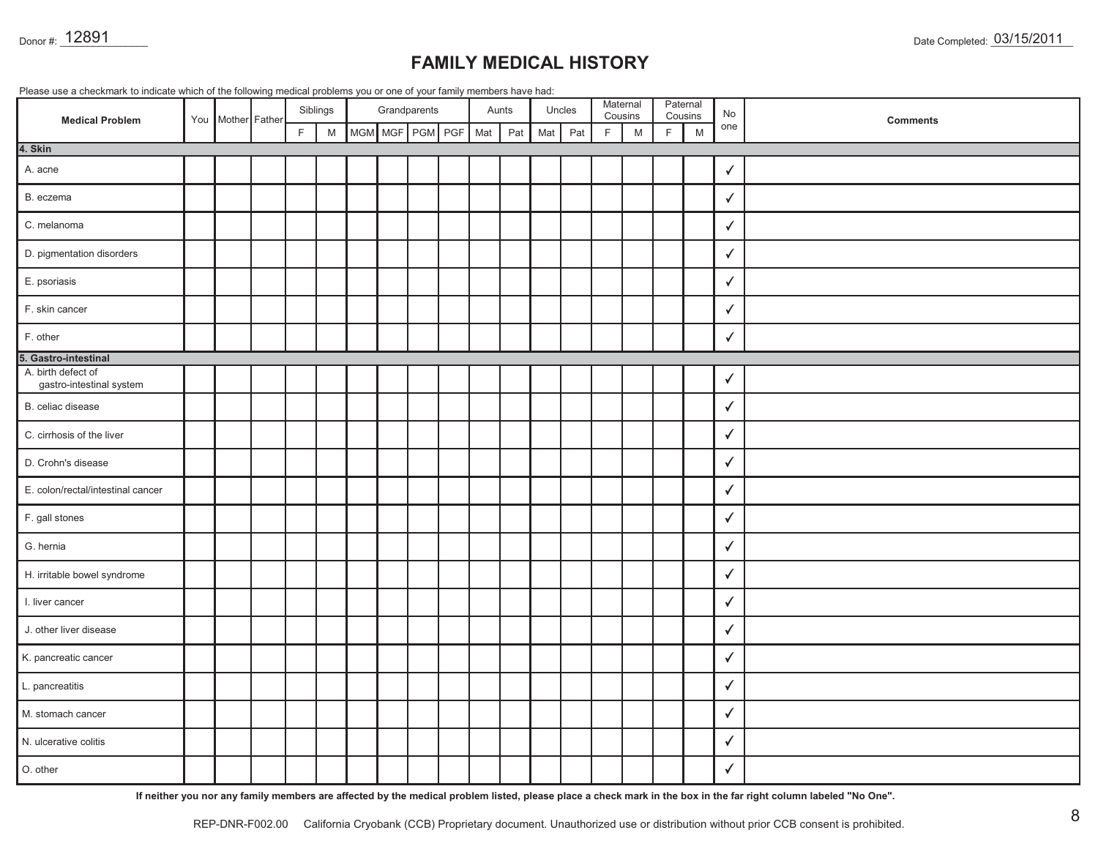| Donor #: 12891<br><b>FAMILY MEDICAL HISTORY</b><br>Please use a checkmark to indicate which of the following medical problems you or one of your family members have had: |  |                   |  |   |          |  |  |                 |  |     |       |     |        |             | Date Completed: 03/15/2011 |   |              |                  |                                                                                                                                                                                                                                                                                                    |
|---------------------------------------------------------------------------------------------------------------------------------------------------------------------------|--|-------------------|--|---|----------|--|--|-----------------|--|-----|-------|-----|--------|-------------|----------------------------|---|--------------|------------------|----------------------------------------------------------------------------------------------------------------------------------------------------------------------------------------------------------------------------------------------------------------------------------------------------|
|                                                                                                                                                                           |  |                   |  |   | Siblings |  |  | Grandparents    |  |     | Aunts |     | Uncles |             | Maternal                   |   | Paternal     |                  |                                                                                                                                                                                                                                                                                                    |
| <b>Medical Problem</b>                                                                                                                                                    |  | You Mother Father |  | F | M        |  |  | MGM MGF PGM PGF |  | Mat | Pat   | Mat | Pat    | $\mathsf F$ | Cousins<br>M               | F | Cousins<br>M | <b>No</b><br>one | Comments                                                                                                                                                                                                                                                                                           |
| 4. Skin                                                                                                                                                                   |  |                   |  |   |          |  |  |                 |  |     |       |     |        |             |                            |   |              |                  |                                                                                                                                                                                                                                                                                                    |
| A. acne                                                                                                                                                                   |  |                   |  |   |          |  |  |                 |  |     |       |     |        |             |                            |   |              | ✓                |                                                                                                                                                                                                                                                                                                    |
| B. eczema                                                                                                                                                                 |  |                   |  |   |          |  |  |                 |  |     |       |     |        |             |                            |   |              | $\checkmark$     |                                                                                                                                                                                                                                                                                                    |
| C. melanoma                                                                                                                                                               |  |                   |  |   |          |  |  |                 |  |     |       |     |        |             |                            |   |              | $\checkmark$     |                                                                                                                                                                                                                                                                                                    |
| D. pigmentation disorders                                                                                                                                                 |  |                   |  |   |          |  |  |                 |  |     |       |     |        |             |                            |   |              | $\checkmark$     |                                                                                                                                                                                                                                                                                                    |
| E. psoriasis                                                                                                                                                              |  |                   |  |   |          |  |  |                 |  |     |       |     |        |             |                            |   |              | $\checkmark$     |                                                                                                                                                                                                                                                                                                    |
| F. skin cancer                                                                                                                                                            |  |                   |  |   |          |  |  |                 |  |     |       |     |        |             |                            |   |              | $\checkmark$     |                                                                                                                                                                                                                                                                                                    |
| F. other                                                                                                                                                                  |  |                   |  |   |          |  |  |                 |  |     |       |     |        |             |                            |   |              | √                |                                                                                                                                                                                                                                                                                                    |
| 5. Gastro-intestinal                                                                                                                                                      |  |                   |  |   |          |  |  |                 |  |     |       |     |        |             |                            |   |              |                  |                                                                                                                                                                                                                                                                                                    |
| A. birth defect of<br>gastro-intestinal system                                                                                                                            |  |                   |  |   |          |  |  |                 |  |     |       |     |        |             |                            |   |              | $\checkmark$     |                                                                                                                                                                                                                                                                                                    |
| B. celiac disease                                                                                                                                                         |  |                   |  |   |          |  |  |                 |  |     |       |     |        |             |                            |   |              | $\checkmark$     |                                                                                                                                                                                                                                                                                                    |
| C. cirrhosis of the liver                                                                                                                                                 |  |                   |  |   |          |  |  |                 |  |     |       |     |        |             |                            |   |              | ✓                |                                                                                                                                                                                                                                                                                                    |
| D. Crohn's disease                                                                                                                                                        |  |                   |  |   |          |  |  |                 |  |     |       |     |        |             |                            |   |              | $\checkmark$     |                                                                                                                                                                                                                                                                                                    |
| E. colon/rectal/intestinal cancer                                                                                                                                         |  |                   |  |   |          |  |  |                 |  |     |       |     |        |             |                            |   |              | $\checkmark$     |                                                                                                                                                                                                                                                                                                    |
| F. gall stones                                                                                                                                                            |  |                   |  |   |          |  |  |                 |  |     |       |     |        |             |                            |   |              | $\checkmark$     |                                                                                                                                                                                                                                                                                                    |
| G. hernia                                                                                                                                                                 |  |                   |  |   |          |  |  |                 |  |     |       |     |        |             |                            |   |              | $\checkmark$     |                                                                                                                                                                                                                                                                                                    |
| H. irritable bowel syndrome                                                                                                                                               |  |                   |  |   |          |  |  |                 |  |     |       |     |        |             |                            |   |              | $\checkmark$     |                                                                                                                                                                                                                                                                                                    |
| I. liver cancer                                                                                                                                                           |  |                   |  |   |          |  |  |                 |  |     |       |     |        |             |                            |   |              | $\checkmark$     |                                                                                                                                                                                                                                                                                                    |
| J. other liver disease                                                                                                                                                    |  |                   |  |   |          |  |  |                 |  |     |       |     |        |             |                            |   |              | $\checkmark$     |                                                                                                                                                                                                                                                                                                    |
| K. pancreatic cancer                                                                                                                                                      |  |                   |  |   |          |  |  |                 |  |     |       |     |        |             |                            |   |              | $\checkmark$     |                                                                                                                                                                                                                                                                                                    |
| L. pancreatitis                                                                                                                                                           |  |                   |  |   |          |  |  |                 |  |     |       |     |        |             |                            |   |              | $\checkmark$     |                                                                                                                                                                                                                                                                                                    |
| M. stomach cancer                                                                                                                                                         |  |                   |  |   |          |  |  |                 |  |     |       |     |        |             |                            |   |              | $\checkmark$     |                                                                                                                                                                                                                                                                                                    |
| N. ulcerative colitis                                                                                                                                                     |  |                   |  |   |          |  |  |                 |  |     |       |     |        |             |                            |   |              | $\checkmark$     |                                                                                                                                                                                                                                                                                                    |
| O. other                                                                                                                                                                  |  |                   |  |   |          |  |  |                 |  |     |       |     |        |             |                            |   |              | $\checkmark$     |                                                                                                                                                                                                                                                                                                    |
|                                                                                                                                                                           |  | REP-DNR-F002.00   |  |   |          |  |  |                 |  |     |       |     |        |             |                            |   |              |                  | If neither you nor any family members are affected by the medical problem listed, please place a check mark in the box in the far right column labeled "No One".<br>8<br>California Cryobank (CCB) Proprietary document. Unauthorized use or distribution without prior CCB consent is prohibited. |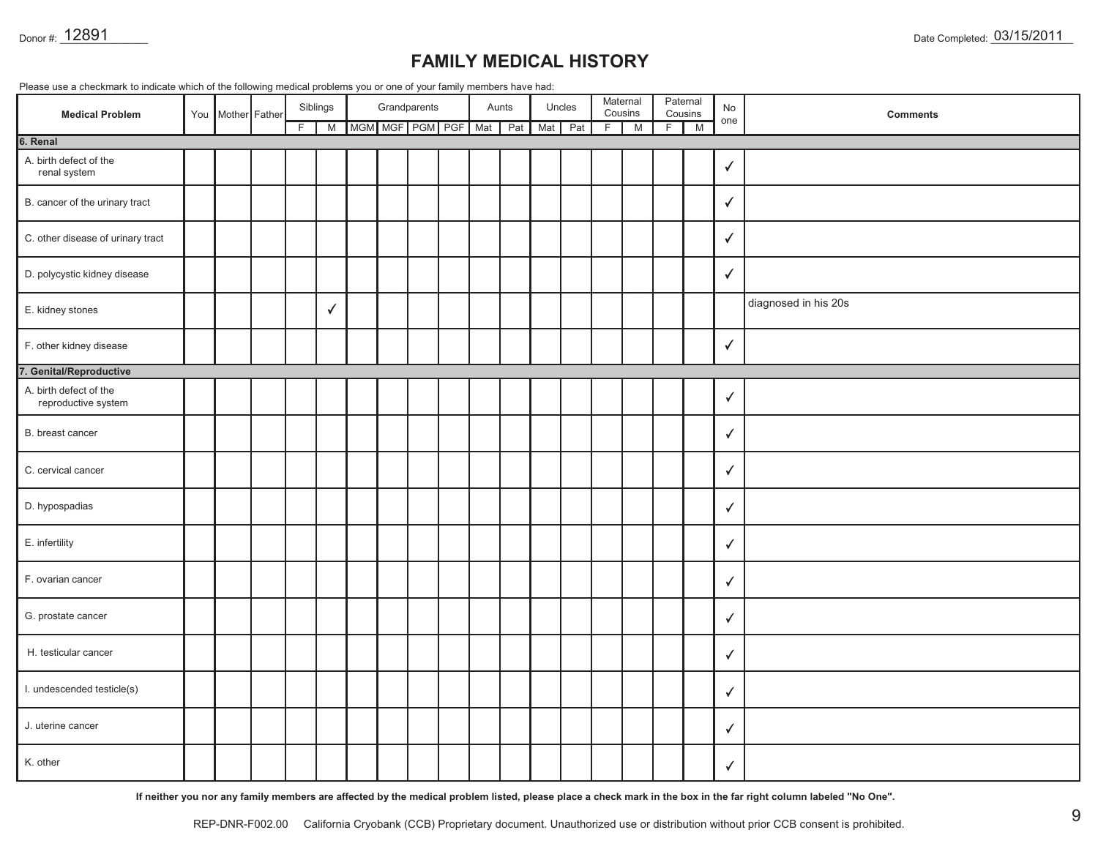| Donor #: 12891                                                                                                         |  |                   |  |    |               |                     |              |  |  |  |              |     |               |   |                          |    |                          |              | Date Completed: 03/15/2011                                                                                                                                       |
|------------------------------------------------------------------------------------------------------------------------|--|-------------------|--|----|---------------|---------------------|--------------|--|--|--|--------------|-----|---------------|---|--------------------------|----|--------------------------|--------------|------------------------------------------------------------------------------------------------------------------------------------------------------------------|
| <b>FAMILY MEDICAL HISTORY</b>                                                                                          |  |                   |  |    |               |                     |              |  |  |  |              |     |               |   |                          |    |                          |              |                                                                                                                                                                  |
| Please use a checkmark to indicate which of the following medical problems you or one of your family members have had: |  |                   |  |    |               |                     |              |  |  |  |              |     |               |   |                          |    |                          |              |                                                                                                                                                                  |
| <b>Medical Problem</b>                                                                                                 |  | You Mother Father |  | F. | Siblings<br>M | MGM MGF PGM PGF Mat | Grandparents |  |  |  | Aunts<br>Pat | Mat | Uncles<br>Pat | F | Maternal<br>Cousins<br>M | F. | Paternal<br>Cousins<br>M | No<br>one    | <b>Comments</b>                                                                                                                                                  |
| 6. Renal                                                                                                               |  |                   |  |    |               |                     |              |  |  |  |              |     |               |   |                          |    |                          |              |                                                                                                                                                                  |
| A. birth defect of the<br>renal system                                                                                 |  |                   |  |    |               |                     |              |  |  |  |              |     |               |   |                          |    |                          | $\checkmark$ |                                                                                                                                                                  |
| B. cancer of the urinary tract                                                                                         |  |                   |  |    |               |                     |              |  |  |  |              |     |               |   |                          |    |                          | $\checkmark$ |                                                                                                                                                                  |
| C. other disease of urinary tract                                                                                      |  |                   |  |    |               |                     |              |  |  |  |              |     |               |   |                          |    |                          | $\checkmark$ |                                                                                                                                                                  |
| D. polycystic kidney disease                                                                                           |  |                   |  |    |               |                     |              |  |  |  |              |     |               |   |                          |    |                          | ✓            |                                                                                                                                                                  |
| E. kidney stones                                                                                                       |  |                   |  |    | ✓             |                     |              |  |  |  |              |     |               |   |                          |    |                          |              | diagnosed in his 20s                                                                                                                                             |
| F. other kidney disease                                                                                                |  |                   |  |    |               |                     |              |  |  |  |              |     |               |   |                          |    |                          | $\checkmark$ |                                                                                                                                                                  |
| 7. Genital/Reproductive                                                                                                |  |                   |  |    |               |                     |              |  |  |  |              |     |               |   |                          |    |                          |              |                                                                                                                                                                  |
| A. birth defect of the<br>reproductive system                                                                          |  |                   |  |    |               |                     |              |  |  |  |              |     |               |   |                          |    |                          | ✓            |                                                                                                                                                                  |
| B. breast cancer                                                                                                       |  |                   |  |    |               |                     |              |  |  |  |              |     |               |   |                          |    |                          | $\checkmark$ |                                                                                                                                                                  |
| C. cervical cancer                                                                                                     |  |                   |  |    |               |                     |              |  |  |  |              |     |               |   |                          |    |                          | $\checkmark$ |                                                                                                                                                                  |
| D. hypospadias                                                                                                         |  |                   |  |    |               |                     |              |  |  |  |              |     |               |   |                          |    |                          | $\checkmark$ |                                                                                                                                                                  |
| E. infertility                                                                                                         |  |                   |  |    |               |                     |              |  |  |  |              |     |               |   |                          |    |                          | $\checkmark$ |                                                                                                                                                                  |
| F. ovarian cancer                                                                                                      |  |                   |  |    |               |                     |              |  |  |  |              |     |               |   |                          |    |                          | ✓            |                                                                                                                                                                  |
| G. prostate cancer                                                                                                     |  |                   |  |    |               |                     |              |  |  |  |              |     |               |   |                          |    |                          | ✓            |                                                                                                                                                                  |
| H. testicular cancer                                                                                                   |  |                   |  |    |               |                     |              |  |  |  |              |     |               |   |                          |    |                          | ✓            |                                                                                                                                                                  |
| I. undescended testicle(s)                                                                                             |  |                   |  |    |               |                     |              |  |  |  |              |     |               |   |                          |    |                          | $\checkmark$ |                                                                                                                                                                  |
| J. uterine cancer                                                                                                      |  |                   |  |    |               |                     |              |  |  |  |              |     |               |   |                          |    |                          | $\checkmark$ |                                                                                                                                                                  |
| K. other                                                                                                               |  |                   |  |    |               |                     |              |  |  |  |              |     |               |   |                          |    |                          | $\checkmark$ |                                                                                                                                                                  |
|                                                                                                                        |  |                   |  |    |               |                     |              |  |  |  |              |     |               |   |                          |    |                          |              | If neither you nor any family members are affected by the medical problem listed, please place a check mark in the box in the far right column labeled "No One". |
|                                                                                                                        |  | REP-DNR-F002.00   |  |    |               |                     |              |  |  |  |              |     |               |   |                          |    |                          |              | 9<br>California Cryobank (CCB) Proprietary document. Unauthorized use or distribution without prior CCB consent is prohibited.                                   |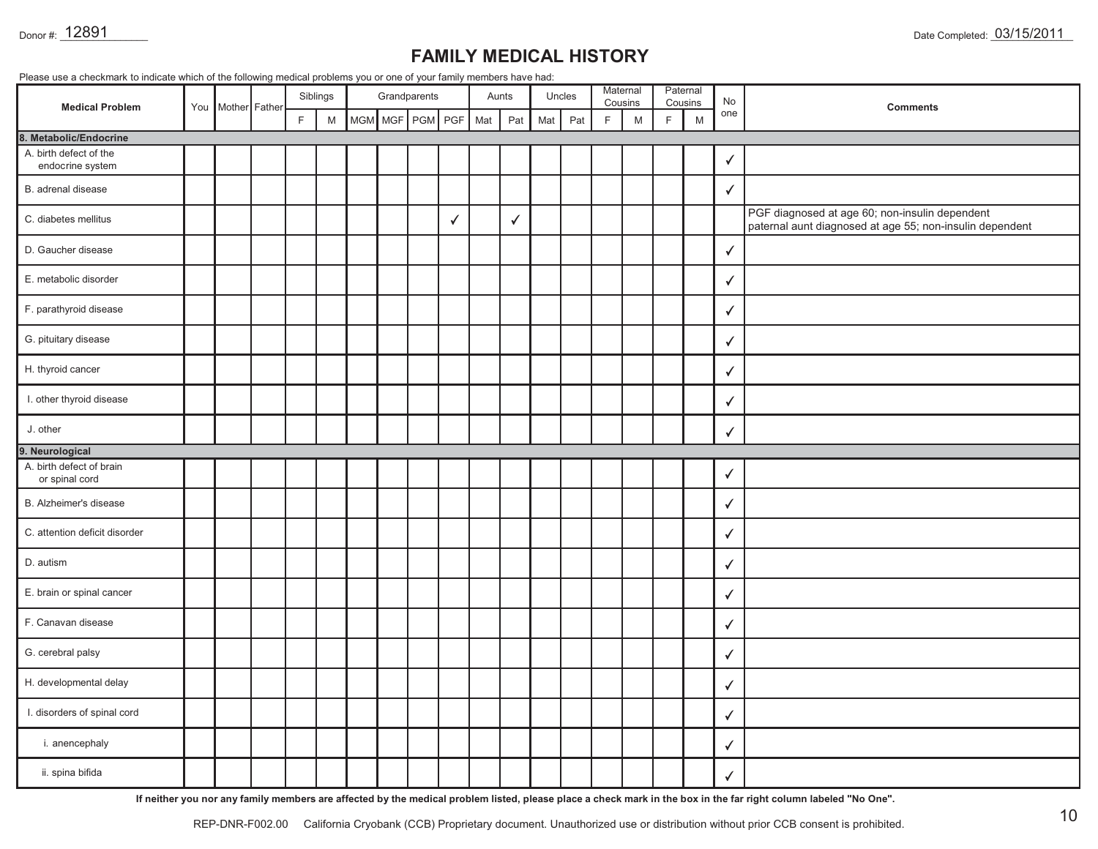|                                            | You | Mother Father |   | Siblings |  | Grandparents    |              |     | Aunts |     | Uncles |             | Maternal<br>Cousins |   | Paternal<br>Cousins | No           | <b>Comments</b>                                                                                            |
|--------------------------------------------|-----|---------------|---|----------|--|-----------------|--------------|-----|-------|-----|--------|-------------|---------------------|---|---------------------|--------------|------------------------------------------------------------------------------------------------------------|
| <b>Medical Problem</b>                     |     |               | F | M        |  | MGM MGF PGM PGF |              | Mat | Pat   | Mat | Pat    | $\mathsf F$ | M                   | F | M                   | one          |                                                                                                            |
| 8. Metabolic/Endocrine                     |     |               |   |          |  |                 |              |     |       |     |        |             |                     |   |                     |              |                                                                                                            |
| A. birth defect of the<br>endocrine system |     |               |   |          |  |                 |              |     |       |     |        |             |                     |   |                     | √            |                                                                                                            |
| B. adrenal disease                         |     |               |   |          |  |                 |              |     |       |     |        |             |                     |   |                     | ✓            |                                                                                                            |
| C. diabetes mellitus                       |     |               |   |          |  |                 | $\checkmark$ |     | ✓     |     |        |             |                     |   |                     |              | PGF diagnosed at age 60; non-insulin dependent<br>paternal aunt diagnosed at age 55; non-insulin dependent |
| D. Gaucher disease                         |     |               |   |          |  |                 |              |     |       |     |        |             |                     |   |                     | √            |                                                                                                            |
| E. metabolic disorder                      |     |               |   |          |  |                 |              |     |       |     |        |             |                     |   |                     |              |                                                                                                            |
| F. parathyroid disease                     |     |               |   |          |  |                 |              |     |       |     |        |             |                     |   |                     | $\sqrt{2}$   |                                                                                                            |
| G. pituitary disease                       |     |               |   |          |  |                 |              |     |       |     |        |             |                     |   |                     | $\checkmark$ |                                                                                                            |
| H. thyroid cancer                          |     |               |   |          |  |                 |              |     |       |     |        |             |                     |   |                     | ✓            |                                                                                                            |
| I. other thyroid disease                   |     |               |   |          |  |                 |              |     |       |     |        |             |                     |   |                     | ✓            |                                                                                                            |
| J. other                                   |     |               |   |          |  |                 |              |     |       |     |        |             |                     |   |                     | ✓            |                                                                                                            |
| 9. Neurological                            |     |               |   |          |  |                 |              |     |       |     |        |             |                     |   |                     |              |                                                                                                            |
| A. birth defect of brain<br>or spinal cord |     |               |   |          |  |                 |              |     |       |     |        |             |                     |   |                     | $\checkmark$ |                                                                                                            |
| B. Alzheimer's disease                     |     |               |   |          |  |                 |              |     |       |     |        |             |                     |   |                     | $\checkmark$ |                                                                                                            |
| C. attention deficit disorder              |     |               |   |          |  |                 |              |     |       |     |        |             |                     |   |                     | ✓            |                                                                                                            |
| D. autism                                  |     |               |   |          |  |                 |              |     |       |     |        |             |                     |   |                     | $\checkmark$ |                                                                                                            |
| E. brain or spinal cancer                  |     |               |   |          |  |                 |              |     |       |     |        |             |                     |   |                     | ✓            |                                                                                                            |
| F. Canavan disease                         |     |               |   |          |  |                 |              |     |       |     |        |             |                     |   |                     | $\checkmark$ |                                                                                                            |
| G. cerebral palsy                          |     |               |   |          |  |                 |              |     |       |     |        |             |                     |   |                     | $\checkmark$ |                                                                                                            |
| H. developmental delay                     |     |               |   |          |  |                 |              |     |       |     |        |             |                     |   |                     | $\checkmark$ |                                                                                                            |
| I. disorders of spinal cord                |     |               |   |          |  |                 |              |     |       |     |        |             |                     |   |                     | $\checkmark$ |                                                                                                            |
| i. anencephaly                             |     |               |   |          |  |                 |              |     |       |     |        |             |                     |   |                     | $\checkmark$ |                                                                                                            |
| ii. spina bifida                           |     |               |   |          |  |                 |              |     |       |     |        |             |                     |   |                     | $\checkmark$ |                                                                                                            |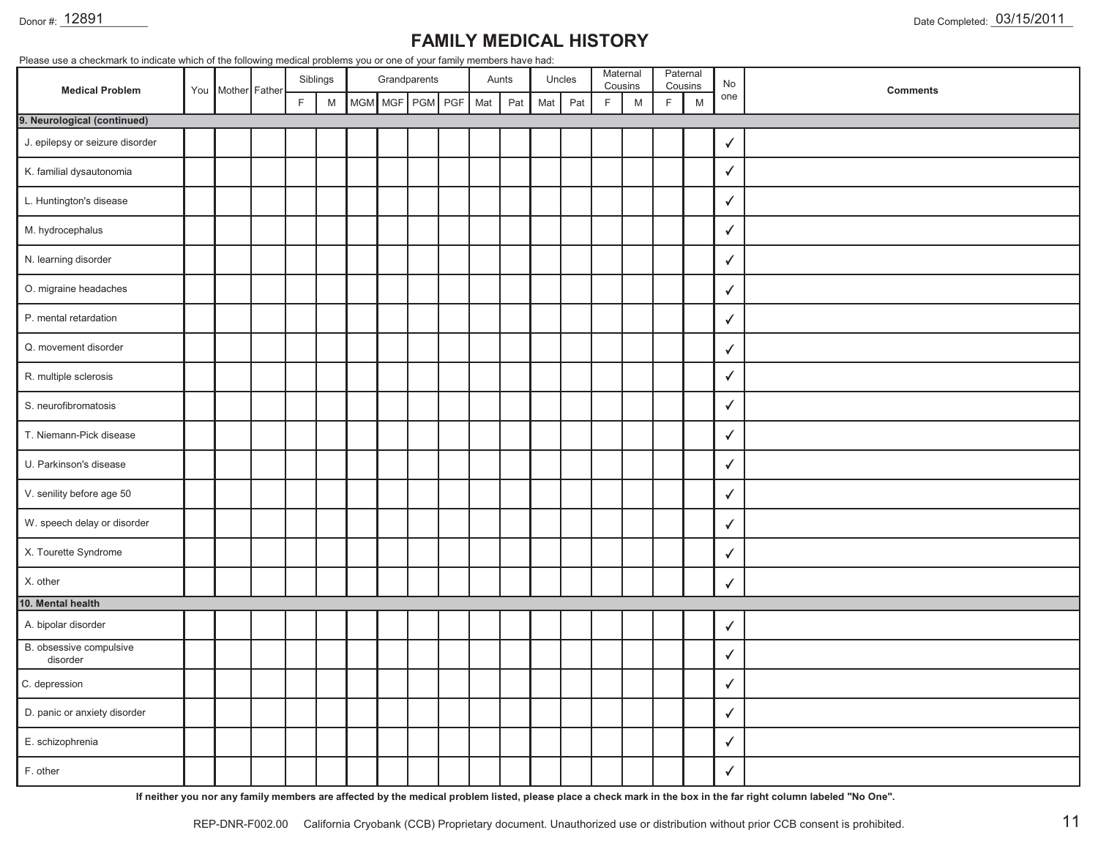#### Donor #: 12891

## **FAMILY MEDICAL HISTORY**

| Please use a checkmark to indicate which of the following medical problems you or one of your family members have had:<br><b>Medical Problem</b> |  |                   |   | Siblings                                                                                                   |     |     | Grandparents |     |     | Aunts |     | Uncles |             | Maternal<br>Cousins |    | Paternal<br>Cousins | No           |                 |
|--------------------------------------------------------------------------------------------------------------------------------------------------|--|-------------------|---|------------------------------------------------------------------------------------------------------------|-----|-----|--------------|-----|-----|-------|-----|--------|-------------|---------------------|----|---------------------|--------------|-----------------|
|                                                                                                                                                  |  | You Mother Father | F | $\mathsf{M}% _{T}=\mathsf{M}_{T}\!\left( a,b\right) ,\ \mathsf{M}_{T}=\mathsf{M}_{T}\!\left( a,b\right) ,$ | MGM | MGF | PGM          | PGF | Mat | Pat   | Mat | Pat    | $\mathsf F$ | ${\sf M}$           | F. | M                   | one          | <b>Comments</b> |
| 9. Neurological (continued)                                                                                                                      |  |                   |   |                                                                                                            |     |     |              |     |     |       |     |        |             |                     |    |                     |              |                 |
| J. epilepsy or seizure disorder                                                                                                                  |  |                   |   |                                                                                                            |     |     |              |     |     |       |     |        |             |                     |    |                     | $\checkmark$ |                 |
| K. familial dysautonomia                                                                                                                         |  |                   |   |                                                                                                            |     |     |              |     |     |       |     |        |             |                     |    |                     | $\checkmark$ |                 |
| L. Huntington's disease                                                                                                                          |  |                   |   |                                                                                                            |     |     |              |     |     |       |     |        |             |                     |    |                     | $\checkmark$ |                 |
| M. hydrocephalus                                                                                                                                 |  |                   |   |                                                                                                            |     |     |              |     |     |       |     |        |             |                     |    |                     | $\checkmark$ |                 |
| N. learning disorder                                                                                                                             |  |                   |   |                                                                                                            |     |     |              |     |     |       |     |        |             |                     |    |                     | $\checkmark$ |                 |
| O. migraine headaches                                                                                                                            |  |                   |   |                                                                                                            |     |     |              |     |     |       |     |        |             |                     |    |                     | $\checkmark$ |                 |
| P. mental retardation                                                                                                                            |  |                   |   |                                                                                                            |     |     |              |     |     |       |     |        |             |                     |    |                     | ✓            |                 |
| Q. movement disorder                                                                                                                             |  |                   |   |                                                                                                            |     |     |              |     |     |       |     |        |             |                     |    |                     | ✓            |                 |
| R. multiple sclerosis                                                                                                                            |  |                   |   |                                                                                                            |     |     |              |     |     |       |     |        |             |                     |    |                     | $\checkmark$ |                 |
| S. neurofibromatosis                                                                                                                             |  |                   |   |                                                                                                            |     |     |              |     |     |       |     |        |             |                     |    |                     | $\checkmark$ |                 |
| T. Niemann-Pick disease                                                                                                                          |  |                   |   |                                                                                                            |     |     |              |     |     |       |     |        |             |                     |    |                     | $\checkmark$ |                 |
| U. Parkinson's disease                                                                                                                           |  |                   |   |                                                                                                            |     |     |              |     |     |       |     |        |             |                     |    |                     | $\checkmark$ |                 |
| V. senility before age 50                                                                                                                        |  |                   |   |                                                                                                            |     |     |              |     |     |       |     |        |             |                     |    |                     | $\checkmark$ |                 |
| W. speech delay or disorder                                                                                                                      |  |                   |   |                                                                                                            |     |     |              |     |     |       |     |        |             |                     |    |                     | $\checkmark$ |                 |
| X. Tourette Syndrome                                                                                                                             |  |                   |   |                                                                                                            |     |     |              |     |     |       |     |        |             |                     |    |                     | $\checkmark$ |                 |
| X. other                                                                                                                                         |  |                   |   |                                                                                                            |     |     |              |     |     |       |     |        |             |                     |    |                     | $\checkmark$ |                 |
| 10. Mental health                                                                                                                                |  |                   |   |                                                                                                            |     |     |              |     |     |       |     |        |             |                     |    |                     |              |                 |
| A. bipolar disorder                                                                                                                              |  |                   |   |                                                                                                            |     |     |              |     |     |       |     |        |             |                     |    |                     | $\checkmark$ |                 |
| B. obsessive compulsive<br>disorder                                                                                                              |  |                   |   |                                                                                                            |     |     |              |     |     |       |     |        |             |                     |    |                     | $\checkmark$ |                 |
| C. depression                                                                                                                                    |  |                   |   |                                                                                                            |     |     |              |     |     |       |     |        |             |                     |    |                     | $\checkmark$ |                 |
| D. panic or anxiety disorder                                                                                                                     |  |                   |   |                                                                                                            |     |     |              |     |     |       |     |        |             |                     |    |                     | $\checkmark$ |                 |
| E. schizophrenia                                                                                                                                 |  |                   |   |                                                                                                            |     |     |              |     |     |       |     |        |             |                     |    |                     | $\checkmark$ |                 |
| F. other                                                                                                                                         |  |                   |   |                                                                                                            |     |     |              |     |     |       |     |        |             |                     |    |                     | $\checkmark$ |                 |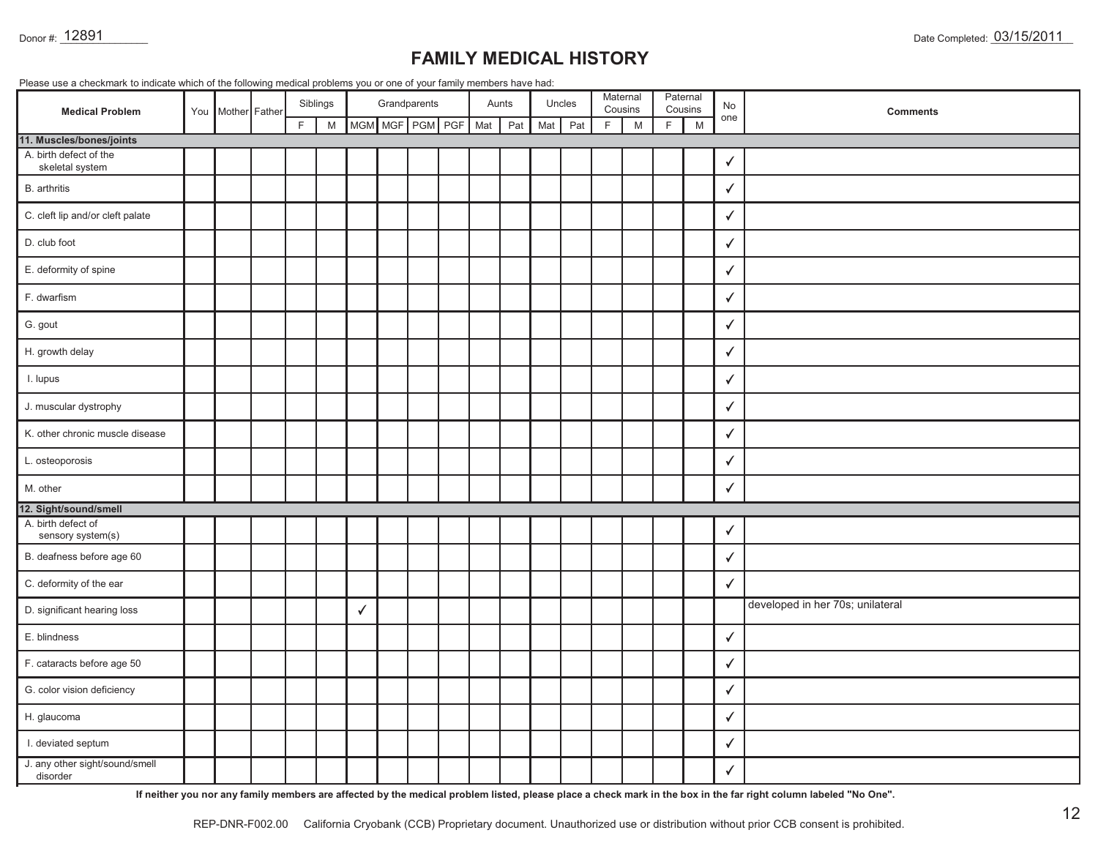|  |  | Please use a checkmark to indicate which of the following medical problems you or one of your family members have had: |  |  |
|--|--|------------------------------------------------------------------------------------------------------------------------|--|--|
|  |  |                                                                                                                        |  |  |
|  |  |                                                                                                                        |  |  |

| Donor #: 12891                             |                                                                                                                                                         |                   |  |    |               |   |  |                                 |  |     |              |     |               |   |              |   |              |              | Date Completed: 03/15/2011                                                                                                                                                                                                                                                                          |
|--------------------------------------------|---------------------------------------------------------------------------------------------------------------------------------------------------------|-------------------|--|----|---------------|---|--|---------------------------------|--|-----|--------------|-----|---------------|---|--------------|---|--------------|--------------|-----------------------------------------------------------------------------------------------------------------------------------------------------------------------------------------------------------------------------------------------------------------------------------------------------|
|                                            | <b>FAMILY MEDICAL HISTORY</b><br>Please use a checkmark to indicate which of the following medical problems you or one of your family members have had: |                   |  |    |               |   |  |                                 |  |     |              |     |               |   |              |   |              |              |                                                                                                                                                                                                                                                                                                     |
|                                            |                                                                                                                                                         |                   |  |    |               |   |  |                                 |  |     |              |     |               |   | Maternal     |   | Paternal     |              |                                                                                                                                                                                                                                                                                                     |
| <b>Medical Problem</b>                     |                                                                                                                                                         | You Mother Father |  | F. | Siblings<br>M |   |  | Grandparents<br>MGM MGF PGM PGF |  | Mat | Aunts<br>Pat | Mat | Uncles<br>Pat | F | Cousins<br>M | F | Cousins<br>M | No<br>one    | <b>Comments</b>                                                                                                                                                                                                                                                                                     |
| 11. Muscles/bones/joints                   |                                                                                                                                                         |                   |  |    |               |   |  |                                 |  |     |              |     |               |   |              |   |              |              |                                                                                                                                                                                                                                                                                                     |
| A. birth defect of the<br>skeletal system  |                                                                                                                                                         |                   |  |    |               |   |  |                                 |  |     |              |     |               |   |              |   |              | $\checkmark$ |                                                                                                                                                                                                                                                                                                     |
| B. arthritis                               |                                                                                                                                                         |                   |  |    |               |   |  |                                 |  |     |              |     |               |   |              |   |              | $\checkmark$ |                                                                                                                                                                                                                                                                                                     |
| C. cleft lip and/or cleft palate           |                                                                                                                                                         |                   |  |    |               |   |  |                                 |  |     |              |     |               |   |              |   |              | $\checkmark$ |                                                                                                                                                                                                                                                                                                     |
| D. club foot                               |                                                                                                                                                         |                   |  |    |               |   |  |                                 |  |     |              |     |               |   |              |   |              | $\checkmark$ |                                                                                                                                                                                                                                                                                                     |
| E. deformity of spine                      |                                                                                                                                                         |                   |  |    |               |   |  |                                 |  |     |              |     |               |   |              |   |              | ✓            |                                                                                                                                                                                                                                                                                                     |
| F. dwarfism                                |                                                                                                                                                         |                   |  |    |               |   |  |                                 |  |     |              |     |               |   |              |   |              | $\sqrt{ }$   |                                                                                                                                                                                                                                                                                                     |
| G. gout                                    |                                                                                                                                                         |                   |  |    |               |   |  |                                 |  |     |              |     |               |   |              |   |              | $\checkmark$ |                                                                                                                                                                                                                                                                                                     |
| H. growth delay                            |                                                                                                                                                         |                   |  |    |               |   |  |                                 |  |     |              |     |               |   |              |   |              | $\checkmark$ |                                                                                                                                                                                                                                                                                                     |
| I. lupus                                   |                                                                                                                                                         |                   |  |    |               |   |  |                                 |  |     |              |     |               |   |              |   |              | $\checkmark$ |                                                                                                                                                                                                                                                                                                     |
| J. muscular dystrophy                      |                                                                                                                                                         |                   |  |    |               |   |  |                                 |  |     |              |     |               |   |              |   |              | $\checkmark$ |                                                                                                                                                                                                                                                                                                     |
| K. other chronic muscle disease            |                                                                                                                                                         |                   |  |    |               |   |  |                                 |  |     |              |     |               |   |              |   |              | $\checkmark$ |                                                                                                                                                                                                                                                                                                     |
| L. osteoporosis                            |                                                                                                                                                         |                   |  |    |               |   |  |                                 |  |     |              |     |               |   |              |   |              | $\checkmark$ |                                                                                                                                                                                                                                                                                                     |
| M. other                                   |                                                                                                                                                         |                   |  |    |               |   |  |                                 |  |     |              |     |               |   |              |   |              |              |                                                                                                                                                                                                                                                                                                     |
| 12. Sight/sound/smell                      |                                                                                                                                                         |                   |  |    |               |   |  |                                 |  |     |              |     |               |   |              |   |              |              |                                                                                                                                                                                                                                                                                                     |
| A. birth defect of<br>sensory system(s)    |                                                                                                                                                         |                   |  |    |               |   |  |                                 |  |     |              |     |               |   |              |   |              | ✓            |                                                                                                                                                                                                                                                                                                     |
| B. deafness before age 60                  |                                                                                                                                                         |                   |  |    |               |   |  |                                 |  |     |              |     |               |   |              |   |              | $\checkmark$ |                                                                                                                                                                                                                                                                                                     |
| C. deformity of the ear                    |                                                                                                                                                         |                   |  |    |               |   |  |                                 |  |     |              |     |               |   |              |   |              | $\checkmark$ |                                                                                                                                                                                                                                                                                                     |
| D. significant hearing loss                |                                                                                                                                                         |                   |  |    |               | V |  |                                 |  |     |              |     |               |   |              |   |              |              | developed in her 70s; unilateral                                                                                                                                                                                                                                                                    |
| E. blindness                               |                                                                                                                                                         |                   |  |    |               |   |  |                                 |  |     |              |     |               |   |              |   |              |              |                                                                                                                                                                                                                                                                                                     |
| F. cataracts before age 50                 |                                                                                                                                                         |                   |  |    |               |   |  |                                 |  |     |              |     |               |   |              |   |              | $\checkmark$ |                                                                                                                                                                                                                                                                                                     |
| G. color vision deficiency                 |                                                                                                                                                         |                   |  |    |               |   |  |                                 |  |     |              |     |               |   |              |   |              | $\checkmark$ |                                                                                                                                                                                                                                                                                                     |
| H. glaucoma                                |                                                                                                                                                         |                   |  |    |               |   |  |                                 |  |     |              |     |               |   |              |   |              | $\checkmark$ |                                                                                                                                                                                                                                                                                                     |
| I. deviated septum                         |                                                                                                                                                         |                   |  |    |               |   |  |                                 |  |     |              |     |               |   |              |   |              | $\checkmark$ |                                                                                                                                                                                                                                                                                                     |
| J. any other sight/sound/smell<br>disorder |                                                                                                                                                         |                   |  |    |               |   |  |                                 |  |     |              |     |               |   |              |   |              | $\checkmark$ |                                                                                                                                                                                                                                                                                                     |
|                                            |                                                                                                                                                         | REP-DNR-F002.00   |  |    |               |   |  |                                 |  |     |              |     |               |   |              |   |              |              | If neither you nor any family members are affected by the medical problem listed, please place a check mark in the box in the far right column labeled "No One".<br>12<br>California Cryobank (CCB) Proprietary document. Unauthorized use or distribution without prior CCB consent is prohibited. |